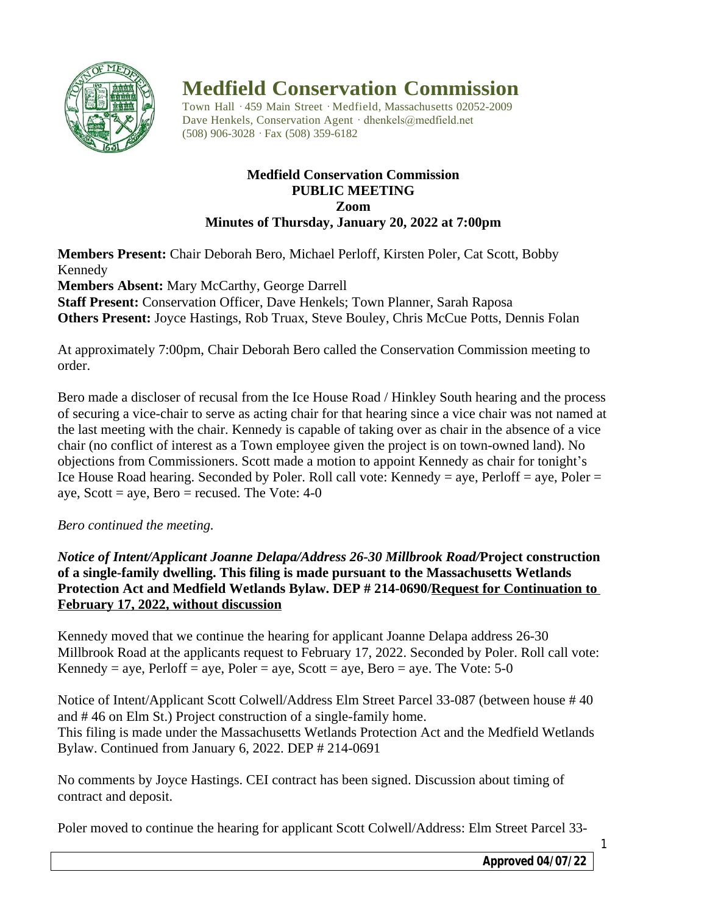

# **Medfield Conservation Commission**

Town Hall · 459 Main Street · Medfield, Massachusetts 02052-2009 Dave Henkels, Conservation Agent · dhenkels@medfield.net (508) 906-3028 ·Fax (508) 359-6182

## **Medfield Conservation Commission PUBLIC MEETING Zoom Minutes of Thursday, January 20, 2022 at 7:00pm**

**Members Present:** Chair Deborah Bero, Michael Perloff, Kirsten Poler, Cat Scott, Bobby Kennedy

**Members Absent:** Mary McCarthy, George Darrell **Staff Present:** Conservation Officer, Dave Henkels; Town Planner, Sarah Raposa **Others Present:** Joyce Hastings, Rob Truax, Steve Bouley, Chris McCue Potts, Dennis Folan

At approximately 7:00pm, Chair Deborah Bero called the Conservation Commission meeting to order.

Bero made a discloser of recusal from the Ice House Road / Hinkley South hearing and the process of securing a vice-chair to serve as acting chair for that hearing since a vice chair was not named at the last meeting with the chair. Kennedy is capable of taking over as chair in the absence of a vice chair (no conflict of interest as a Town employee given the project is on town-owned land). No objections from Commissioners. Scott made a motion to appoint Kennedy as chair for tonight's Ice House Road hearing. Seconded by Poler. Roll call vote: Kennedy = aye, Perloff = aye, Poler = aye, Scott = aye, Bero = recused. The Vote:  $4-0$ 

## *Bero continued the meeting.*

*Notice of Intent/Applicant Joanne Delapa/Address 26-30 Millbrook Road/***Project construction of a single-family dwelling. This filing is made pursuant to the Massachusetts Wetlands Protection Act and Medfield Wetlands Bylaw. DEP # 214-0690/Request for Continuation to February 17, 2022, without discussion**

Kennedy moved that we continue the hearing for applicant Joanne Delapa address 26-30 Millbrook Road at the applicants request to February 17, 2022. Seconded by Poler. Roll call vote: Kennedy = aye, Perloff = aye, Poler = aye, Scott = aye, Bero = aye. The Vote:  $5-0$ 

Notice of Intent/Applicant Scott Colwell/Address Elm Street Parcel 33-087 (between house # 40 and # 46 on Elm St.) Project construction of a single-family home. This filing is made under the Massachusetts Wetlands Protection Act and the Medfield Wetlands Bylaw. Continued from January 6, 2022. DEP # 214-0691

No comments by Joyce Hastings. CEI contract has been signed. Discussion about timing of contract and deposit.

Poler moved to continue the hearing for applicant Scott Colwell/Address: Elm Street Parcel 33-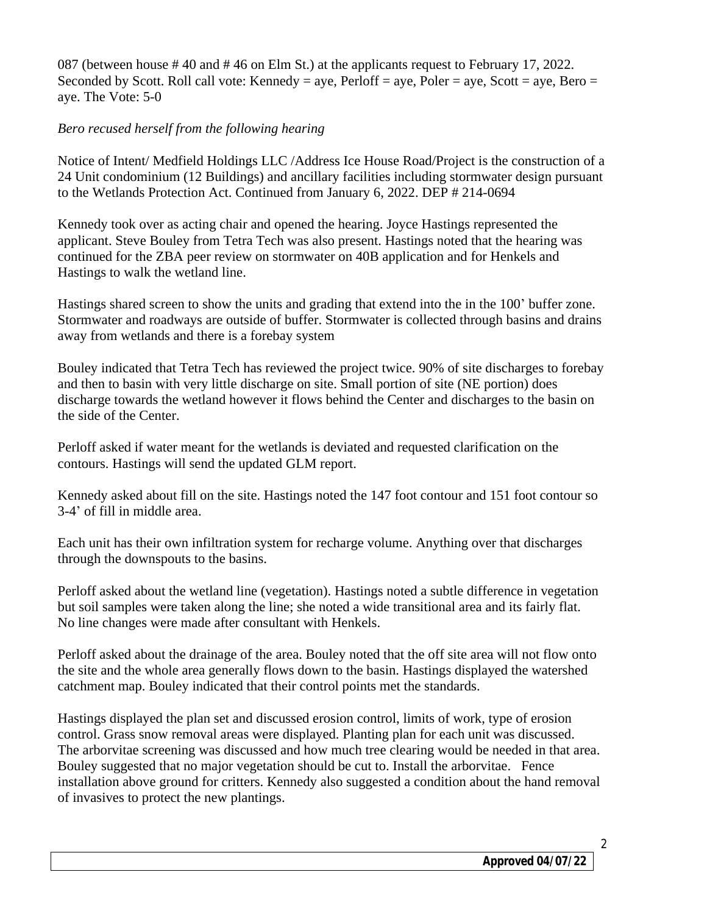087 (between house # 40 and # 46 on Elm St.) at the applicants request to February 17, 2022. Seconded by Scott. Roll call vote: Kennedy = aye, Perloff = aye, Poler = aye, Scott = aye, Bero = aye. The Vote: 5-0

## *Bero recused herself from the following hearing*

Notice of Intent/ Medfield Holdings LLC /Address Ice House Road/Project is the construction of a 24 Unit condominium (12 Buildings) and ancillary facilities including stormwater design pursuant to the Wetlands Protection Act. Continued from January 6, 2022. DEP # 214-0694

Kennedy took over as acting chair and opened the hearing. Joyce Hastings represented the applicant. Steve Bouley from Tetra Tech was also present. Hastings noted that the hearing was continued for the ZBA peer review on stormwater on 40B application and for Henkels and Hastings to walk the wetland line.

Hastings shared screen to show the units and grading that extend into the in the 100' buffer zone. Stormwater and roadways are outside of buffer. Stormwater is collected through basins and drains away from wetlands and there is a forebay system

Bouley indicated that Tetra Tech has reviewed the project twice. 90% of site discharges to forebay and then to basin with very little discharge on site. Small portion of site (NE portion) does discharge towards the wetland however it flows behind the Center and discharges to the basin on the side of the Center.

Perloff asked if water meant for the wetlands is deviated and requested clarification on the contours. Hastings will send the updated GLM report.

Kennedy asked about fill on the site. Hastings noted the 147 foot contour and 151 foot contour so 3-4' of fill in middle area.

Each unit has their own infiltration system for recharge volume. Anything over that discharges through the downspouts to the basins.

Perloff asked about the wetland line (vegetation). Hastings noted a subtle difference in vegetation but soil samples were taken along the line; she noted a wide transitional area and its fairly flat. No line changes were made after consultant with Henkels.

Perloff asked about the drainage of the area. Bouley noted that the off site area will not flow onto the site and the whole area generally flows down to the basin. Hastings displayed the watershed catchment map. Bouley indicated that their control points met the standards.

Hastings displayed the plan set and discussed erosion control, limits of work, type of erosion control. Grass snow removal areas were displayed. Planting plan for each unit was discussed. The arborvitae screening was discussed and how much tree clearing would be needed in that area. Bouley suggested that no major vegetation should be cut to. Install the arborvitae. Fence installation above ground for critters. Kennedy also suggested a condition about the hand removal of invasives to protect the new plantings.

2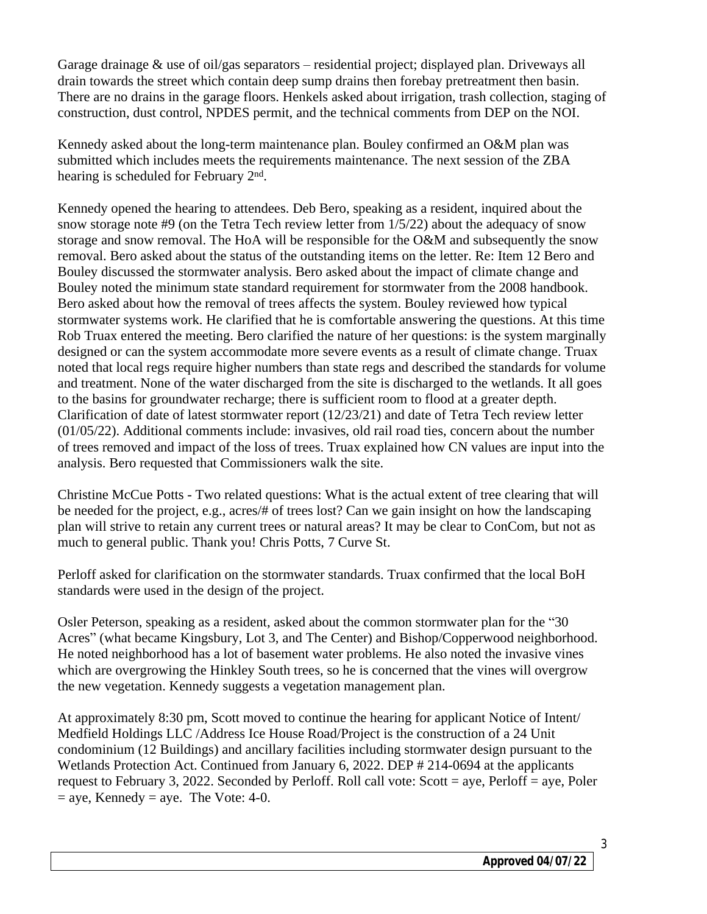Garage drainage & use of oil/gas separators – residential project; displayed plan. Driveways all drain towards the street which contain deep sump drains then forebay pretreatment then basin. There are no drains in the garage floors. Henkels asked about irrigation, trash collection, staging of construction, dust control, NPDES permit, and the technical comments from DEP on the NOI.

Kennedy asked about the long-term maintenance plan. Bouley confirmed an O&M plan was submitted which includes meets the requirements maintenance. The next session of the ZBA hearing is scheduled for February 2<sup>nd</sup>.

Kennedy opened the hearing to attendees. Deb Bero, speaking as a resident, inquired about the snow storage note  $#9$  (on the Tetra Tech review letter from  $1/5/22$ ) about the adequacy of snow storage and snow removal. The HoA will be responsible for the O&M and subsequently the snow removal. Bero asked about the status of the outstanding items on the letter. Re: Item 12 Bero and Bouley discussed the stormwater analysis. Bero asked about the impact of climate change and Bouley noted the minimum state standard requirement for stormwater from the 2008 handbook. Bero asked about how the removal of trees affects the system. Bouley reviewed how typical stormwater systems work. He clarified that he is comfortable answering the questions. At this time Rob Truax entered the meeting. Bero clarified the nature of her questions: is the system marginally designed or can the system accommodate more severe events as a result of climate change. Truax noted that local regs require higher numbers than state regs and described the standards for volume and treatment. None of the water discharged from the site is discharged to the wetlands. It all goes to the basins for groundwater recharge; there is sufficient room to flood at a greater depth. Clarification of date of latest stormwater report (12/23/21) and date of Tetra Tech review letter (01/05/22). Additional comments include: invasives, old rail road ties, concern about the number of trees removed and impact of the loss of trees. Truax explained how CN values are input into the analysis. Bero requested that Commissioners walk the site.

Christine McCue Potts - Two related questions: What is the actual extent of tree clearing that will be needed for the project, e.g., acres/# of trees lost? Can we gain insight on how the landscaping plan will strive to retain any current trees or natural areas? It may be clear to ConCom, but not as much to general public. Thank you! Chris Potts, 7 Curve St.

Perloff asked for clarification on the stormwater standards. Truax confirmed that the local BoH standards were used in the design of the project.

Osler Peterson, speaking as a resident, asked about the common stormwater plan for the "30 Acres" (what became Kingsbury, Lot 3, and The Center) and Bishop/Copperwood neighborhood. He noted neighborhood has a lot of basement water problems. He also noted the invasive vines which are overgrowing the Hinkley South trees, so he is concerned that the vines will overgrow the new vegetation. Kennedy suggests a vegetation management plan.

At approximately 8:30 pm, Scott moved to continue the hearing for applicant Notice of Intent/ Medfield Holdings LLC /Address Ice House Road/Project is the construction of a 24 Unit condominium (12 Buildings) and ancillary facilities including stormwater design pursuant to the Wetlands Protection Act. Continued from January 6, 2022. DEP # 214-0694 at the applicants request to February 3, 2022. Seconded by Perloff. Roll call vote: Scott = aye, Perloff = aye, Poler  $=$  aye, Kennedy  $=$  aye. The Vote: 4-0.

3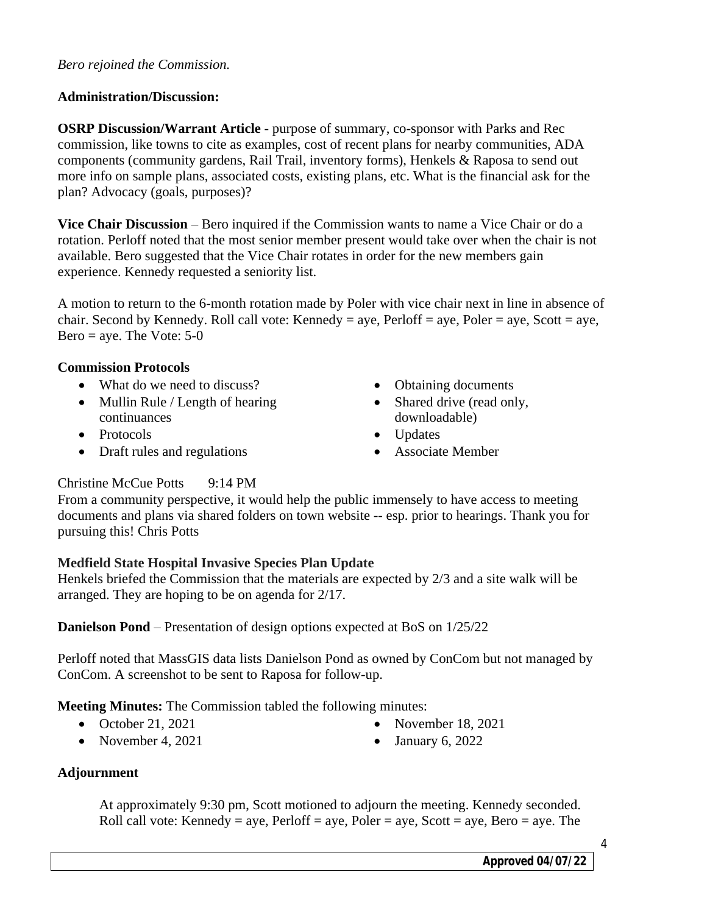#### *Bero rejoined the Commission.*

### **Administration/Discussion:**

**OSRP Discussion/Warrant Article** - purpose of summary, co-sponsor with Parks and Rec commission, like towns to cite as examples, cost of recent plans for nearby communities, ADA components (community gardens, Rail Trail, inventory forms), Henkels & Raposa to send out more info on sample plans, associated costs, existing plans, etc. What is the financial ask for the plan? Advocacy (goals, purposes)?

**Vice Chair Discussion** – Bero inquired if the Commission wants to name a Vice Chair or do a rotation. Perloff noted that the most senior member present would take over when the chair is not available. Bero suggested that the Vice Chair rotates in order for the new members gain experience. Kennedy requested a seniority list.

A motion to return to the 6-month rotation made by Poler with vice chair next in line in absence of chair. Second by Kennedy. Roll call vote: Kennedy = aye, Perloff = aye, Poler = aye, Scott = aye, Bero = aye. The Vote:  $5-0$ 

#### **Commission Protocols**

- What do we need to discuss?
- Mullin Rule / Length of hearing continuances
- Protocols
- Draft rules and regulations
- Obtaining documents
- Shared drive (read only, downloadable)
- Updates
- Associate Member

### Christine McCue Potts 9:14 PM

From a community perspective, it would help the public immensely to have access to meeting documents and plans via shared folders on town website -- esp. prior to hearings. Thank you for pursuing this! Chris Potts

### **Medfield State Hospital Invasive Species Plan Update**

Henkels briefed the Commission that the materials are expected by 2/3 and a site walk will be arranged. They are hoping to be on agenda for 2/17.

**Danielson Pond** – Presentation of design options expected at BoS on 1/25/22

Perloff noted that MassGIS data lists Danielson Pond as owned by ConCom but not managed by ConCom. A screenshot to be sent to Raposa for follow-up.

**Meeting Minutes:** The Commission tabled the following minutes:

- $\bullet$  October 21, 2021
- November 4,  $2021$
- November 18, 2021
- $\bullet$  January 6, 2022

### **Adjournment**

At approximately 9:30 pm, Scott motioned to adjourn the meeting. Kennedy seconded. Roll call vote: Kennedy = aye, Perloff = aye, Poler = aye, Scott = aye, Bero = aye. The

4